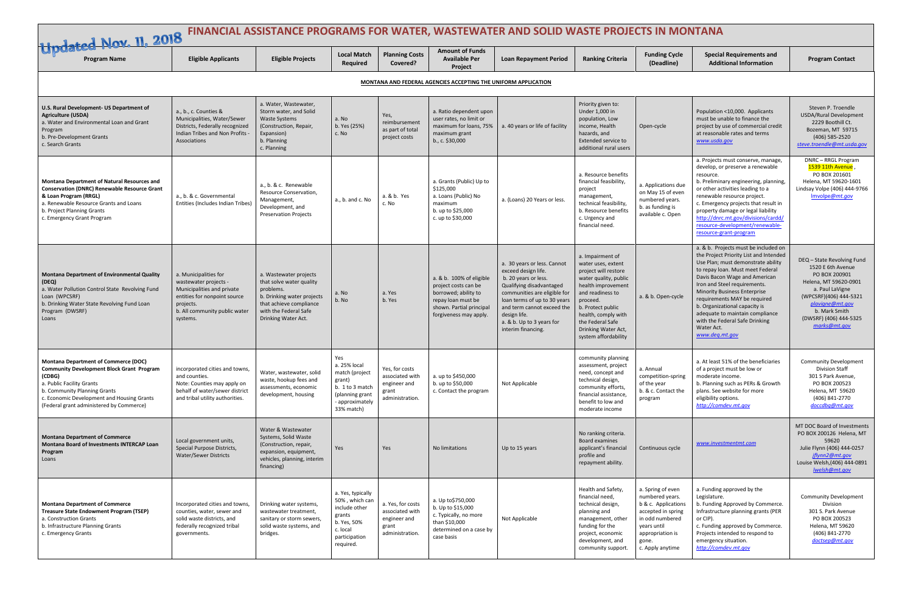| Updated Nov. 11, 2018 FINANCIAL ASSISTANCE PROGRAMS FOR WATER, WASTEWATER AND SOLID WASTE PROJECTS IN MONTANA                                                                                                                                                    |                                                                                                                                                                        |                                                                                                                                                                          |                                                                                                                         |                                                                                 |                                                                                                                                                      |                                                                                                                                                                                                                                                                         |                                                                                                                                                                                                                                                              |                                                                                                                                                                      |                                                                                                                                                                                                                                                                                                                                                                                                                                        |                                                                                                                                                                                                                      |
|------------------------------------------------------------------------------------------------------------------------------------------------------------------------------------------------------------------------------------------------------------------|------------------------------------------------------------------------------------------------------------------------------------------------------------------------|--------------------------------------------------------------------------------------------------------------------------------------------------------------------------|-------------------------------------------------------------------------------------------------------------------------|---------------------------------------------------------------------------------|------------------------------------------------------------------------------------------------------------------------------------------------------|-------------------------------------------------------------------------------------------------------------------------------------------------------------------------------------------------------------------------------------------------------------------------|--------------------------------------------------------------------------------------------------------------------------------------------------------------------------------------------------------------------------------------------------------------|----------------------------------------------------------------------------------------------------------------------------------------------------------------------|----------------------------------------------------------------------------------------------------------------------------------------------------------------------------------------------------------------------------------------------------------------------------------------------------------------------------------------------------------------------------------------------------------------------------------------|----------------------------------------------------------------------------------------------------------------------------------------------------------------------------------------------------------------------|
| <b>Program Name</b>                                                                                                                                                                                                                                              | <b>Eligible Applicants</b>                                                                                                                                             | <b>Eligible Projects</b>                                                                                                                                                 | <b>Local Match</b><br>Required                                                                                          | <b>Planning Costs</b><br>Covered?                                               | <b>Available Per</b><br>Project                                                                                                                      | <b>Loan Repayment Period</b>                                                                                                                                                                                                                                            | <b>Ranking Criteria</b>                                                                                                                                                                                                                                      | <b>Funding Cycle</b><br>(Deadline)                                                                                                                                   | <b>Special Requirements and</b><br><b>Additional Information</b>                                                                                                                                                                                                                                                                                                                                                                       | <b>Program Contact</b>                                                                                                                                                                                               |
| MONTANA AND FEDERAL AGENCIES ACCEPTING THE UNIFORM APPLICATION                                                                                                                                                                                                   |                                                                                                                                                                        |                                                                                                                                                                          |                                                                                                                         |                                                                                 |                                                                                                                                                      |                                                                                                                                                                                                                                                                         |                                                                                                                                                                                                                                                              |                                                                                                                                                                      |                                                                                                                                                                                                                                                                                                                                                                                                                                        |                                                                                                                                                                                                                      |
| U.S. Rural Development- US Department of<br><b>Agriculture (USDA)</b><br>a. Water and Environmental Loan and Grant<br>Program<br>b. Pre-Development Grants<br>c. Search Grants                                                                                   | a., b., c. Counties &<br>Municipalities, Water/Sewer<br>Districts, Federally recognized<br>Indian Tribes and Non Profits -<br>Associations                             | a. Water, Wastewater,<br>Storm water, and Solid<br><b>Waste Systems</b><br>(Construction, Repair,<br>Expansion)<br>b. Planning<br>c. Planning                            | a. No<br>b. Yes (25%)<br>c. No                                                                                          | Yes,<br>reimbursement<br>as part of total<br>project costs                      | a. Ratio dependent upon<br>user rates, no limit or<br>maximum for loans, 75%<br>maximum grant<br>b., c. $$30,000$                                    | a. 40 years or life of facility                                                                                                                                                                                                                                         | Priority given to:<br>Under 1,000 in<br>population, Low<br>income, Health<br>hazards, and<br>Extended service to<br>additional rural users                                                                                                                   | Open-cycle                                                                                                                                                           | Population <10,000. Applicants<br>must be unable to finance the<br>project by use of commercial credit<br>at reasonable rates and terms<br>www.usda.gov                                                                                                                                                                                                                                                                                | Steven P. Troendle<br>USDA/Rural Development<br>2229 Boothill Ct.<br>Bozeman, MT 59715<br>(406) 585-2520<br>steve.troendle@mt.usda.gov                                                                               |
| Montana Department of Natural Resources and<br><b>Conservation (DNRC) Renewable Resource Grant</b><br>& Loan Program (RRGL)<br>a. Renewable Resource Grants and Loans<br>b. Project Planning Grants<br>c. Emergency Grant Program                                | a., b. & c. Governmental<br>Entities (Includes Indian Tribes                                                                                                           | a., b. & c. Renewable<br>Resource Conservation,<br>Management,<br>Development, and<br><b>Preservation Projects</b>                                                       | a., b. and c. No                                                                                                        | a. & b. Yes<br>c. No                                                            | a. Grants (Public) Up to<br>\$125,000<br>a. Loans (Public) No<br>maximum<br>b. up to \$25,000<br>c. up to \$30,000                                   | a. (Loans) 20 Years or less                                                                                                                                                                                                                                             | a. Resource benefits<br>financial feasibility,<br>project<br>management,<br>technical feasibility,<br>b. Resource benefits<br>c. Urgency and<br>financial need.                                                                                              | a. Applications due<br>on May 15 of even<br>numbered years.<br>b. as funding is<br>available c. Open                                                                 | a. Projects must conserve, manage,<br>develop, or preserve a renewable<br>resource.<br>b. Preliminary engineering, planning,<br>or other activities leading to a<br>renewable resource project.<br>c. Emergency projects that result in<br>property damage or legal liability<br>http://dnrc.mt.gov/divisions/cardd/<br>resource-development/renewable-<br>resource-grant-program                                                      | DNRC - RRGL Program<br>, 1539 11th Avenue<br>PO BOX 201601<br>Helena, MT 59620-1601<br>Lindsay Volpe (406) 444-9766<br>Imvolpe@mt.gov                                                                                |
| Montana Department of Environmental Quality<br>(DEQ)<br>a. Water Pollution Control State Revolving Fund<br>Loan (WPCSRF)<br>b. Drinking Water State Revolving Fund Loan<br>Program (DWSRF)<br>Loans                                                              | a. Municipalities for<br>wastewater projects -<br>Municipalities and private<br>entities for nonpoint source<br>projects.<br>b. All community public water<br>systems. | a. Wastewater projects<br>that solve water quality<br>problems.<br>b. Drinking water projects<br>that achieve compliance<br>with the Federal Safe<br>Drinking Water Act. | a. No<br>b. No                                                                                                          | a. Yes<br>b. Yes                                                                | a. & b. 100% of eligible<br>project costs can be<br>borrowed; ability to<br>repay loan must be<br>shown. Partial principal<br>forgiveness may apply. | a. 30 years or less. Cannot<br>exceed design life.<br>b. 20 years or less.<br>Qualifying disadvantaged<br>communities are eligible for<br>loan terms of up to 30 years<br>and term cannot exceed the<br>design life.<br>a. & b. Up to 3 years for<br>interim financing. | a. Impairment of<br>water uses, extent<br>project will restore<br>water quality, public<br>health improvement<br>and readiness to<br>proceed.<br>b. Protect public<br>health, comply with<br>the Federal Safe<br>Drinking Water Act,<br>system affordability | a. & b. Open-cycle                                                                                                                                                   | a. & b. Projects must be included on<br>the Project Priority List and Intended<br>Use Plan; must demonstrate ability<br>to repay loan. Must meet Federal<br>Davis Bacon Wage and American<br>Iron and Steel requirements.<br><b>Minority Business Enterprise</b><br>requirements MAY be required<br>b. Organizational capacity is<br>adequate to maintain compliance<br>with the Federal Safe Drinking<br>Water Act.<br>www.deq.mt.gov | DEQ - State Revolving Fund<br>1520 E 6th Avenue<br>PO BOX 200901<br>Helena, MT 59620-0901<br>a. Paul LaVigne<br>(WPCSRF)(406) 444-5321<br>plavigne@mt.gov<br>b. Mark Smith<br>(DWSRF) (406) 444-5325<br>marks@mt.gov |
| <b>Montana Department of Commerce (DOC)</b><br><b>Community Development Block Grant Program</b><br>(CDBG)<br>a. Public Facility Grants<br>b. Community Planning Grants<br>c. Economic Development and Housing Grants<br>(Federal grant administered by Commerce) | incorporated cities and towns,<br>and counties.<br>Note: Counties may apply on<br>behalf of water/sewer district<br>and tribal utility authorities.                    | Water, wastewater, solid<br>waste, hookup fees and<br>assessments, economic<br>development, housing                                                                      | Yes<br>a. 25% local<br>match (project<br>grant)<br>b. 1 to 3 match<br>(planning grant<br>- approximately<br>33% match)  | Yes, for costs<br>associated with<br>engineer and<br>grant<br>administration.   | a. up to \$450,000<br>b. up to \$50,000<br>c. Contact the program                                                                                    | Not Applicable                                                                                                                                                                                                                                                          | community planning<br>assessment, project<br>need, concept and<br>technical design,<br>community efforts,<br>financial assistance,<br>benefit to low and<br>moderate income                                                                                  | a. Annual<br>competition-spring<br>of the year<br>b. & c. Contact the<br>program                                                                                     | a. At least 51% of the beneficiaries<br>of a project must be low or<br>moderate income.<br>b. Planning such as PERs & Growth<br>plans. See website for more<br>eligibility options.<br>http://comdev.mt.gov                                                                                                                                                                                                                            | <b>Community Development</b><br><b>Division Staff</b><br>301 S Park Avenue,<br>PO BOX 200523<br>Helena, MT 59620<br>(406) 841-2770<br>doccdbq@mt.gov                                                                 |
| <b>Montana Department of Commerce</b><br><b>Montana Board of Investments INTERCAP Loan</b><br>Program<br>Loans                                                                                                                                                   | Local government units,<br>Special Purpose Districts,<br><b>Water/Sewer Districts</b>                                                                                  | Water & Wastewater<br>Systems, Solid Waste<br>(Construction, repair,<br>expansion, equipment,<br>vehicles, planning, interim<br>financing)                               | Yes                                                                                                                     | Yes                                                                             | No limitations                                                                                                                                       | Up to 15 years                                                                                                                                                                                                                                                          | No ranking criteria.<br>Board examines<br>applicant's financial<br>profile and<br>repayment ability.                                                                                                                                                         | Continuous cycle                                                                                                                                                     | www.investmentmt.com                                                                                                                                                                                                                                                                                                                                                                                                                   | MT DOC Board of Investments<br>PO BOX 200126 Helena, MT<br>59620<br>Julie Flynn (406) 444-0257<br>jflynn2@mt.gov<br>Louise Welsh, (406) 444-0891<br>Iwelsh@mt.gov                                                    |
| <b>Montana Department of Commerce</b><br><b>Treasure State Endowment Program (TSEP)</b><br>a. Construction Grants<br>b. Infrastructure Planning Grants<br>c. Emergency Grants                                                                                    | Incorporated cities and towns<br>counties, water, sewer and<br>solid waste districts, and<br>federally recognized tribal<br>governments.                               | Drinking water systems,<br>wastewater treatment,<br>sanitary or storm sewers,<br>solid waste systems, and<br>bridges.                                                    | a. Yes, typically<br>50%, which can<br>include other<br>grants<br>b. Yes, 50%<br>c. local<br>participation<br>required. | a. Yes, for costs<br>associated with<br>engineer and<br>grant<br>administration | a. Up to\$750,000<br>b. Up to \$15,000<br>c. Typically, no more<br>than \$10,000<br>determined on a case by<br>case basis                            | Not Applicable                                                                                                                                                                                                                                                          | Health and Safety,<br>financial need,<br>technical design,<br>planning and<br>management, other<br>funding for the<br>project, economic<br>development, and<br>community support.                                                                            | a. Spring of even<br>numbered years.<br>b & c. Applications<br>accepted in spring<br>in odd numbered<br>years until<br>appropriation is<br>gone.<br>c. Apply anytime | a. Funding approved by the<br>Legislature.<br>b. Funding Approved by Commerce.<br>Infrastructure planning grants (PER<br>or CIP).<br>c. Funding approved by Commerce.<br>Projects intended to respond to<br>emergency situation.<br>http://comdev.mt.gov                                                                                                                                                                               | <b>Community Development</b><br>Division<br>301 S. Park Avenue<br>PO BOX 200523<br>Helena, MT 59620<br>(406) 841-2770<br>doctsep@mt.gov                                                                              |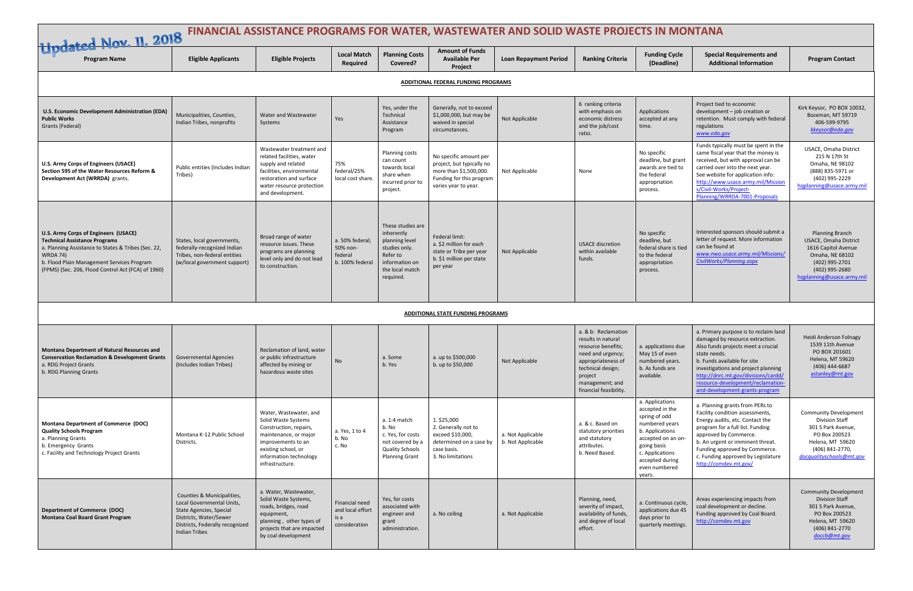| Updated Nov. 11, 2018 FINANCIAL ASSISTANCE PROGRAMS FOR WATER, WASTEWATER AND SOLID WASTE PROJECTS IN MONTANA                                                                                                                                              |                                                                                                                                                                         |                                                                                                                                                                                            |                                                             |                                                                                                                                  |                                                                                                                                   |                                        |                                                                                                                                                                                         |                                                                                                                                                                                                |                                                                                                                                                                                                                                                                                                                    |                                                                                                                                                                 |
|------------------------------------------------------------------------------------------------------------------------------------------------------------------------------------------------------------------------------------------------------------|-------------------------------------------------------------------------------------------------------------------------------------------------------------------------|--------------------------------------------------------------------------------------------------------------------------------------------------------------------------------------------|-------------------------------------------------------------|----------------------------------------------------------------------------------------------------------------------------------|-----------------------------------------------------------------------------------------------------------------------------------|----------------------------------------|-----------------------------------------------------------------------------------------------------------------------------------------------------------------------------------------|------------------------------------------------------------------------------------------------------------------------------------------------------------------------------------------------|--------------------------------------------------------------------------------------------------------------------------------------------------------------------------------------------------------------------------------------------------------------------------------------------------------------------|-----------------------------------------------------------------------------------------------------------------------------------------------------------------|
| <b>Program Name</b>                                                                                                                                                                                                                                        | <b>Eligible Applicants</b>                                                                                                                                              | <b>Eligible Projects</b>                                                                                                                                                                   | <b>Local Match</b><br>Required                              | <b>Planning Costs</b><br>Covered?                                                                                                | <b>Available Per</b><br>Project                                                                                                   | <b>Loan Repayment Period</b>           | <b>Ranking Criteria</b>                                                                                                                                                                 | <b>Funding Cycle</b><br>(Deadline)                                                                                                                                                             | <b>Special Requirements and</b><br><b>Additional Information</b>                                                                                                                                                                                                                                                   | <b>Program Contact</b>                                                                                                                                          |
| ADDITIONAL FEDERAL FUNDING PROGRAMS                                                                                                                                                                                                                        |                                                                                                                                                                         |                                                                                                                                                                                            |                                                             |                                                                                                                                  |                                                                                                                                   |                                        |                                                                                                                                                                                         |                                                                                                                                                                                                |                                                                                                                                                                                                                                                                                                                    |                                                                                                                                                                 |
| U.S. Economic Development Administration (EDA)<br><b>Public Works</b><br>Grants (Federal)                                                                                                                                                                  | Municipalities, Counties,<br>Indian Tribes, nonprofits                                                                                                                  | Water and Wastewater<br>Systems                                                                                                                                                            | Yes                                                         | Yes, under the<br>Technical<br>Assistance<br>Program                                                                             | Generally, not to exceed<br>\$1,000,000, but may be<br>waived in special<br>circumstances.                                        | Not Applicable                         | 6 ranking criteria<br>with emphasis on<br>economic distress<br>and the job/cost<br>ratio.                                                                                               | Applications<br>accepted at any<br>time.                                                                                                                                                       | Project tied to economic<br>development - job creation or<br>retention. Must comply with federal<br>regulations<br>www.eda.gov                                                                                                                                                                                     | Kirk Keysor, PO BOX 10032,<br>Bozeman, MT 59719<br>406-599-9795<br>kkeysor@eda.gov                                                                              |
| <b>U.S. Army Corps of Engineers (USACE)</b><br>Section 595 of the Water Resources Reform &<br>Development Act (WRRDA) grants.                                                                                                                              | Public entities (Includes Indian<br>Tribes)                                                                                                                             | Wastewater treatment and<br>related facilities, water<br>supply and related<br>facilities, environmental<br>restoration and surface<br>water resource protection<br>and development.       | 75%<br>federal/25%<br>local cost share.                     | <b>Planning costs</b><br>can count<br>towards local<br>share when<br>incurred prior to<br>project.                               | No specific amount per<br>project, but typically no<br>more than \$1,500,000.<br>Funding for this program<br>varies year to year. | Not Applicable                         | None                                                                                                                                                                                    | No specific<br>deadline, but grant<br>awards are tied to<br>the federal<br>appropriation<br>process.                                                                                           | Funds typically must be spent in the<br>same fiscal year that the money is<br>received, but with approval can be<br>carried over into the next year.<br>See website for application info:<br>http://www.usace.army.mil/Mission<br>s/Civil-Works/Project-<br>Planning/WRRDA-7001-Proposals                          | USACE, Omaha District<br>215 N 17th St<br>Omaha, NE 98102<br>(888) 835-5971 or<br>(402) 995-2229<br>hqplanning@usace.army.mil                                   |
| U.S. Army Corps of Engineers (USACE)<br><b>Technical Assistance Programs</b><br>a. Planning Assistance to States & Tribes (Sec. 22,<br><b>WRDA 74)</b><br>b. Flood Plain Management Services Program<br>(FPMS) (Sec. 206, Flood Control Act (FCA) of 1960) | States, local governments,<br>federally-recognized Indian<br>Tribes, non-federal entities<br>(w/local government support)                                               | Broad range of water<br>resource issues. These<br>programs are planning<br>level only and do not lead<br>to construction.                                                                  | a. 50% federal;<br>50% non-<br>federal<br>b. 100% federal   | These studies are<br>inherently<br>planning level<br>studies only.<br>Refer to<br>information on<br>the local match<br>required. | Federal limit:<br>a. \$2 million for each<br>state or Tribe per year<br>b. \$1 million per state<br>per year                      | Not Applicable                         | <b>USACE discretion</b><br>within available<br>funds.                                                                                                                                   | No specific<br>deadline, but<br>federal share is tied<br>to the federal<br>appropriation<br>process.                                                                                           | Interested sponsors should submit a<br>letter of request. More information<br>can be found at<br>www.nwo.usace.army.mil/Missions/<br>CivilWorks/Planning.aspx                                                                                                                                                      | Planning Branch<br>USACE, Omaha District<br>1616 Capitol Avenue<br>Omaha, NE 68102<br>(402) 995-2701<br>(402) 995-2680<br>hqplanning@usace.army.mil             |
|                                                                                                                                                                                                                                                            | <b>ADDITIONAL STATE FUNDING PROGRAMS</b>                                                                                                                                |                                                                                                                                                                                            |                                                             |                                                                                                                                  |                                                                                                                                   |                                        |                                                                                                                                                                                         |                                                                                                                                                                                                |                                                                                                                                                                                                                                                                                                                    |                                                                                                                                                                 |
| <b>Montana Department of Natural Resources and</b><br><b>Conservation Reclamation &amp; Development Grants</b><br>a. RDG Project Grants<br>b. RDG Planning Grants                                                                                          | <b>Governmental Agencies</b><br>(Includes Indian Tribes)                                                                                                                | Reclamation of land, water<br>or public infrastructure<br>affected by mining or<br>hazardous waste sites                                                                                   | <b>No</b>                                                   | a. Some<br>b. Yes                                                                                                                | a. up to \$500,000<br>b. up to \$50,000                                                                                           | Not Applicable                         | a. & b: Reclamation<br>results in natural<br>resource benefits;<br>need and urgency;<br>appropriateness of<br>technical design;<br>project<br>management; and<br>financial feasibility. | a. applications due<br>May 15 of even<br>numbered years.<br>b. As funds are<br>available.                                                                                                      | a. Primary purpose is to reclaim land<br>damaged by resource extraction.<br>Also funds projects meet a crucial<br>state needs.<br>b. Funds available for site<br>investigations and project planning<br>http://dnrc.mt.gov/divisions/cardd/<br>resource-development/reclamation-<br>and-development-grants-program | Heidi Anderson Folnagy<br>1539 11th Avenue<br>PO BOX 201601<br>Helena, MT 59620<br>(406) 444-6687<br>astanley@mt.gov                                            |
| Montana Department of Commerce (DOC)<br><b>Quality Schools Program</b><br>a. Planning Grants<br>b. Emergency Grants<br>c. Facility and Technology Project Grants                                                                                           | Montana K-12 Public School<br>Districts.                                                                                                                                | Water, Wastewater, and<br>Solid Waste Systems<br>Construction, repairs,<br>maintenance, or major<br>improvements to an<br>existing school, or<br>information technology<br>infrastructure. | a. Yes, 1 to 4<br>b. No<br>c. No                            | a. 1:4 match<br>b. No<br>c. Yes, for costs<br>not covered by a<br><b>Quality Schools</b><br><b>Planning Grant</b>                | 1. \$25,000<br>2. Generally not to<br>exceed \$10,000,<br>determined on a case by<br>case basis.<br>3. No limitations             | a. Not Applicable<br>b. Not Applicable | a. & c. Based on<br>statutory priorities<br>and statutory<br>attributes.<br>b. Need Based.                                                                                              | a. Applications<br>accepted in the<br>spring of odd<br>numbered years<br>b. Applications<br>accepted on an on-<br>going basis<br>c. Applications<br>accepted during<br>even numbered<br>years. | a. Planning grants from PERs to<br>Facility condition assessments,<br>Energy audits, etc. Contact the<br>program for a full list. Funding<br>approved by Commerce.<br>b. An urgent or imminent threat.<br>Funding approved by Commerce.<br>c. Funding approved by Legislature<br>http://comdev.mt.gov/             | <b>Community Development</b><br><b>Division Staff</b><br>301 S Park Avenue,<br>PO Box 200523<br>Helena, MT 59620<br>(406) 841-2770,<br>docqualityschools@mt.gov |
| <b>Department of Commerce (DOC)</b><br><b>Montana Coal Board Grant Program</b>                                                                                                                                                                             | Counties & Municipalities,<br>Local Governmental Units,<br>State Agencies, Special<br>Districts, Water/Sewer<br>Districts, Federally recognized<br><b>Indian Tribes</b> | a. Water, Wastewater,<br>Solid Waste Systems,<br>roads, bridges, road<br>equipment,<br>planning, other types of<br>projects that are impacted<br>by coal development                       | Financial need<br>and local effort<br>is a<br>consideration | Yes, for costs<br>associated with<br>engineer and<br>grant<br>administration.                                                    | a. No ceiling                                                                                                                     | a. Not Applicable                      | Planning, need,<br>severity of impact,<br>availability of funds,<br>and degree of local<br>effort.                                                                                      | a. Continuous cycle,<br>applications due 45<br>days prior to<br>quarterly meetings.                                                                                                            | Areas experiencing impacts from<br>coal development or decline.<br>Funding approved by Coal Board.<br>http://comdev.mt.gov                                                                                                                                                                                         | <b>Community Development</b><br><b>Division Staff</b><br>301 S Park Avenue,<br>PO Box 200523<br>Helena, MT 59620<br>(406) 841-2770<br>doccb@mt.gov              |